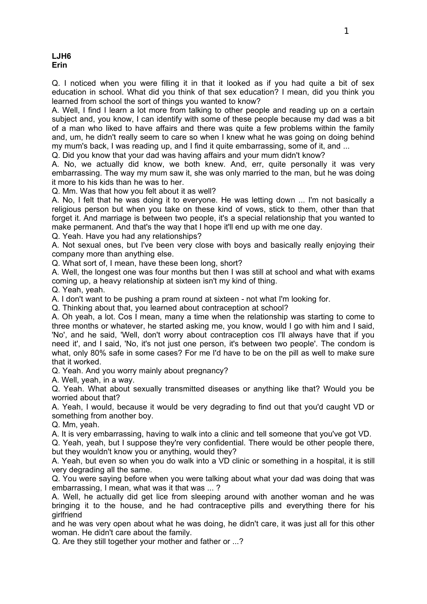Q. I noticed when you were filling it in that it looked as if you had quite a bit of sex education in school. What did you think of that sex education? I mean, did you think you learned from school the sort of things you wanted to know?

A. Well, I find I learn a lot more from talking to other people and reading up on a certain subject and, you know, I can identify with some of these people because my dad was a bit of a man who liked to have affairs and there was quite a few problems within the family and, um, he didn't really seem to care so when I knew what he was going on doing behind my mum's back, I was reading up, and I find it quite embarrassing, some of it, and ...

Q. Did you know that your dad was having affairs and your mum didn't know?

A. No, we actually did know, we both knew. And, err, quite personally it was very embarrassing. The way my mum saw it, she was only married to the man, but he was doing it more to his kids than he was to her.

Q. Mm. Was that how you felt about it as well?

A. No, I felt that he was doing it to everyone. He was letting down ... I'm not basically a religious person but when you take on these kind of vows, stick to them, other than that forget it. And marriage is between two people, it's a special relationship that you wanted to make permanent. And that's the way that I hope it'll end up with me one day.

Q. Yeah. Have you had any relationships?

A. Not sexual ones, but I've been very close with boys and basically really enjoying their company more than anything else.

Q. What sort of, I mean, have these been long, short?

A. Well, the longest one was four months but then I was still at school and what with exams coming up, a heavy relationship at sixteen isn't my kind of thing.

Q. Yeah, yeah.

A. I don't want to be pushing a pram round at sixteen - not what I'm looking for.

Q. Thinking about that, you learned about contraception at school?

A. Oh yeah, a lot. Cos I mean, many a time when the relationship was starting to come to three months or whatever, he started asking me, you know, would I go with him and I said, 'No', and he said, 'Well, don't worry about contraception cos I'll always have that if you need it', and I said, 'No, it's not just one person, it's between two people'. The condom is what, only 80% safe in some cases? For me I'd have to be on the pill as well to make sure that it worked.

Q. Yeah. And you worry mainly about pregnancy?

A. Well, yeah, in a way.

Q. Yeah. What about sexually transmitted diseases or anything like that? Would you be worried about that?

A. Yeah, I would, because it would be very degrading to find out that you'd caught VD or something from another boy.

Q. Mm, yeah.

A. It is very embarrassing, having to walk into a clinic and tell someone that you've got VD.

Q. Yeah, yeah, but I suppose they're very confidential. There would be other people there, but they wouldn't know you or anything, would they?

A. Yeah, but even so when you do walk into a VD clinic or something in a hospital, it is still very degrading all the same.

Q. You were saying before when you were talking about what your dad was doing that was embarrassing, I mean, what was it that was ... ?

A. Well, he actually did get lice from sleeping around with another woman and he was bringing it to the house, and he had contraceptive pills and everything there for his girlfriend

and he was very open about what he was doing, he didn't care, it was just all for this other woman. He didn't care about the family.

Q. Are they still together your mother and father or ...?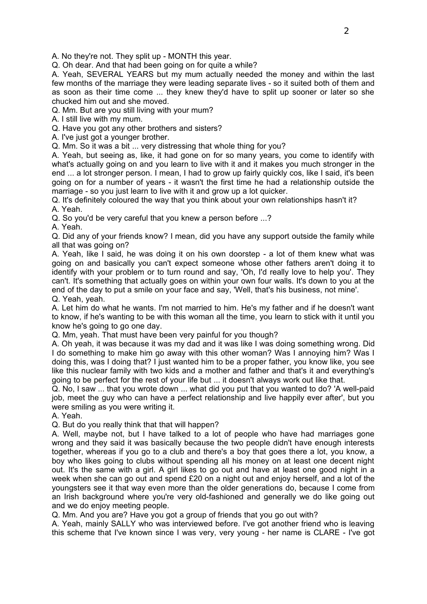A. No they're not. They split up - MONTH this year.

Q. Oh dear. And that had been going on for quite a while?

A. Yeah, SEVERAL YEARS but my mum actually needed the money and within the last few months of the marriage they were leading separate lives - so it suited both of them and as soon as their time come ... they knew they'd have to split up sooner or later so she chucked him out and she moved.

Q. Mm. But are you still living with your mum?

A. I still live with my mum.

Q. Have you got any other brothers and sisters?

A. I've just got a younger brother.

Q. Mm. So it was a bit ... very distressing that whole thing for you?

A. Yeah, but seeing as, like, it had gone on for so many years, you come to identify with what's actually going on and you learn to live with it and it makes you much stronger in the end ... a lot stronger person. I mean, I had to grow up fairly quickly cos, like I said, it's been going on for a number of years - it wasn't the first time he had a relationship outside the marriage - so you just learn to live with it and grow up a lot quicker.

Q. It's definitely coloured the way that you think about your own relationships hasn't it?

A. Yeah.

Q. So you'd be very careful that you knew a person before ...?

A. Yeah.

Q. Did any of your friends know? I mean, did you have any support outside the family while all that was going on?

A. Yeah, like I said, he was doing it on his own doorstep - a lot of them knew what was going on and basically you can't expect someone whose other fathers aren't doing it to identify with your problem or to turn round and say, 'Oh, I'd really love to help you'. They can't. It's something that actually goes on within your own four walls. It's down to you at the end of the day to put a smile on your face and say, 'Well, that's his business, not mine'. Q. Yeah, yeah.

A. Let him do what he wants. I'm not married to him. He's my father and if he doesn't want to know, if he's wanting to be with this woman all the time, you learn to stick with it until you know he's going to go one day.

Q. Mm, yeah. That must have been very painful for you though?

A. Oh yeah, it was because it was my dad and it was like I was doing something wrong. Did I do something to make him go away with this other woman? Was I annoying him? Was I doing this, was I doing that? I just wanted him to be a proper father, you know like, you see like this nuclear family with two kids and a mother and father and that's it and everything's going to be perfect for the rest of your life but ... it doesn't always work out like that.

Q. No, I saw ... that you wrote down ... what did you put that you wanted to do? 'A well-paid job, meet the guy who can have a perfect relationship and live happily ever after', but you were smiling as you were writing it.

A. Yeah.

Q. But do you really think that that will happen?

A. Well, maybe not, but I have talked to a lot of people who have had marriages gone wrong and they said it was basically because the two people didn't have enough interests together, whereas if you go to a club and there's a boy that goes there a lot, you know, a boy who likes going to clubs without spending all his money on at least one decent night out. It's the same with a girl. A girl likes to go out and have at least one good night in a week when she can go out and spend £20 on a night out and enjoy herself, and a lot of the youngsters see it that way even more than the older generations do, because I come from an Irish background where you're very old-fashioned and generally we do like going out and we do enjoy meeting people.

Q. Mm. And you are? Have you got a group of friends that you go out with?

A. Yeah, mainly SALLY who was interviewed before. I've got another friend who is leaving this scheme that I've known since I was very, very young - her name is CLARE - I've got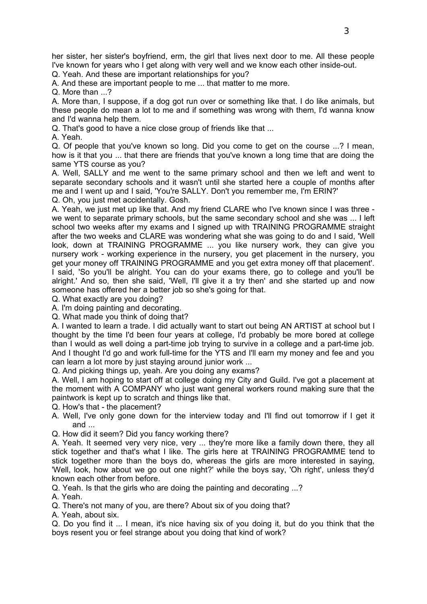her sister, her sister's boyfriend, erm, the girl that lives next door to me. All these people I've known for years who I get along with very well and we know each other inside-out.

Q. Yeah. And these are important relationships for you?

A. And these are important people to me ... that matter to me more.

Q. More than ...?

A. More than, I suppose, if a dog got run over or something like that. I do like animals, but these people do mean a lot to me and if something was wrong with them, I'd wanna know and I'd wanna help them.

Q. That's good to have a nice close group of friends like that ...

A. Yeah.

Q. Of people that you've known so long. Did you come to get on the course ...? I mean, how is it that you ... that there are friends that you've known a long time that are doing the same YTS course as you?

A. Well, SALLY and me went to the same primary school and then we left and went to separate secondary schools and it wasn't until she started here a couple of months after me and I went up and I said, 'You're SALLY. Don't you remember me, I'm ERIN?'

Q. Oh, you just met accidentally. Gosh.

A. Yeah, we just met up like that. And my friend CLARE who I've known since I was three we went to separate primary schools, but the same secondary school and she was ... I left school two weeks after my exams and I signed up with TRAINING PROGRAMME straight after the two weeks and CLARE was wondering what she was going to do and I said, 'Well look, down at TRAINING PROGRAMME ... you like nursery work, they can give you nursery work - working experience in the nursery, you get placement in the nursery, you get your money off TRAINING PROGRAMME and you get extra money off that placement'. I said, 'So you'll be alright. You can do your exams there, go to college and you'll be alright.' And so, then she said, 'Well, I'll give it a try then' and she started up and now someone has offered her a better job so she's going for that.

Q. What exactly are you doing?

A. I'm doing painting and decorating.

Q. What made you think of doing that?

A. I wanted to learn a trade. I did actually want to start out being AN ARTIST at school but I thought by the time I'd been four years at college, I'd probably be more bored at college than I would as well doing a part-time job trying to survive in a college and a part-time job. And I thought I'd go and work full-time for the YTS and I'll earn my money and fee and you can learn a lot more by just staying around junior work ...

Q. And picking things up, yeah. Are you doing any exams?

A. Well, I am hoping to start off at college doing my City and Guild. I've got a placement at the moment with A COMPANY who just want general workers round making sure that the paintwork is kept up to scratch and things like that.

Q. How's that - the placement?

- A. Well, I've only gone down for the interview today and I'll find out tomorrow if I get it and ...
- Q. How did it seem? Did you fancy working there?

A. Yeah. It seemed very very nice, very ... they're more like a family down there, they all stick together and that's what I like. The girls here at TRAINING PROGRAMME tend to stick together more than the boys do, whereas the girls are more interested in saying, 'Well, look, how about we go out one night?' while the boys say, 'Oh right', unless they'd known each other from before.

Q. Yeah. Is that the girls who are doing the painting and decorating ...?

A. Yeah.

Q. There's not many of you, are there? About six of you doing that?

A. Yeah, about six.

Q. Do you find it ... I mean, it's nice having six of you doing it, but do you think that the boys resent you or feel strange about you doing that kind of work?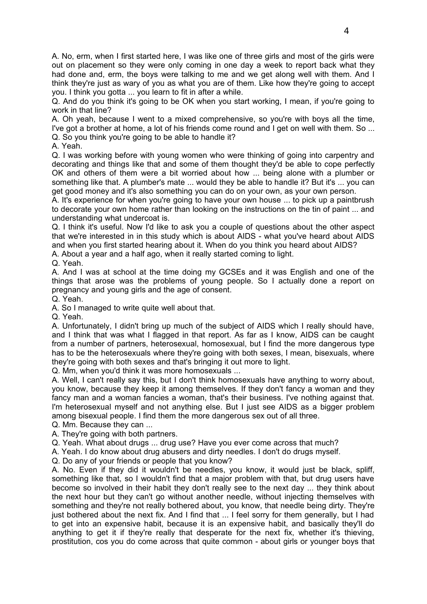A. No, erm, when I first started here, I was like one of three girls and most of the girls were out on placement so they were only coming in one day a week to report back what they had done and, erm, the boys were talking to me and we get along well with them. And I think they're just as wary of you as what you are of them. Like how they're going to accept you. I think you gotta ... you learn to fit in after a while.

Q. And do you think it's going to be OK when you start working, I mean, if you're going to work in that line?

A. Oh yeah, because I went to a mixed comprehensive, so you're with boys all the time, I've got a brother at home, a lot of his friends come round and I get on well with them. So ... Q. So you think you're going to be able to handle it?

A. Yeah.

Q. I was working before with young women who were thinking of going into carpentry and decorating and things like that and some of them thought they'd be able to cope perfectly OK and others of them were a bit worried about how ... being alone with a plumber or something like that. A plumber's mate ... would they be able to handle it? But it's ... you can get good money and it's also something you can do on your own, as your own person.

A. It's experience for when you're going to have your own house ... to pick up a paintbrush to decorate your own home rather than looking on the instructions on the tin of paint ... and understanding what undercoat is.

Q. I think it's useful. Now I'd like to ask you a couple of questions about the other aspect that we're interested in in this study which is about AIDS - what you've heard about AIDS and when you first started hearing about it. When do you think you heard about AIDS?

A. About a year and a half ago, when it really started coming to light.

Q. Yeah.

A. And I was at school at the time doing my GCSEs and it was English and one of the things that arose was the problems of young people. So I actually done a report on pregnancy and young girls and the age of consent.

Q. Yeah.

A. So I managed to write quite well about that.

Q. Yeah.

A. Unfortunately, I didn't bring up much of the subject of AIDS which I really should have, and I think that was what I flagged in that report. As far as I know, AIDS can be caught from a number of partners, heterosexual, homosexual, but I find the more dangerous type has to be the heterosexuals where they're going with both sexes, I mean, bisexuals, where they're going with both sexes and that's bringing it out more to light.

Q. Mm, when you'd think it was more homosexuals ...

A. Well, I can't really say this, but I don't think homosexuals have anything to worry about, you know, because they keep it among themselves. If they don't fancy a woman and they fancy man and a woman fancies a woman, that's their business. I've nothing against that. I'm heterosexual myself and not anything else. But I just see AIDS as a bigger problem among bisexual people. I find them the more dangerous sex out of all three.

Q. Mm. Because they can ...

A. They're going with both partners.

Q. Yeah. What about drugs ... drug use? Have you ever come across that much?

A. Yeah. I do know about drug abusers and dirty needles. I don't do drugs myself.

Q. Do any of your friends or people that you know?

A. No. Even if they did it wouldn't be needles, you know, it would just be black, spliff, something like that, so I wouldn't find that a major problem with that, but drug users have become so involved in their habit they don't really see to the next day ... they think about the next hour but they can't go without another needle, without injecting themselves with something and they're not really bothered about, you know, that needle being dirty. They're just bothered about the next fix. And I find that ... I feel sorry for them generally, but I had to get into an expensive habit, because it is an expensive habit, and basically they'll do anything to get it if they're really that desperate for the next fix, whether it's thieving, prostitution, cos you do come across that quite common - about girls or younger boys that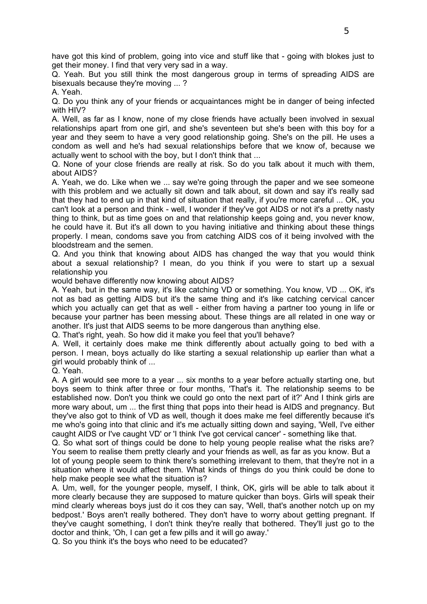have got this kind of problem, going into vice and stuff like that - going with blokes just to get their money. I find that very very sad in a way.

Q. Yeah. But you still think the most dangerous group in terms of spreading AIDS are bisexuals because they're moving ... ?

A. Yeah.

Q. Do you think any of your friends or acquaintances might be in danger of being infected with HIV?

A. Well, as far as I know, none of my close friends have actually been involved in sexual relationships apart from one girl, and she's seventeen but she's been with this boy for a year and they seem to have a very good relationship going. She's on the pill. He uses a condom as well and he's had sexual relationships before that we know of, because we actually went to school with the boy, but I don't think that ...

Q. None of your close friends are really at risk. So do you talk about it much with them, about AIDS?

A. Yeah, we do. Like when we ... say we're going through the paper and we see someone with this problem and we actually sit down and talk about, sit down and say it's really sad that they had to end up in that kind of situation that really, if you're more careful ... OK, you can't look at a person and think - well, I wonder if they've got AIDS or not it's a pretty nasty thing to think, but as time goes on and that relationship keeps going and, you never know, he could have it. But it's all down to you having initiative and thinking about these things properly. I mean, condoms save you from catching AIDS cos of it being involved with the bloodstream and the semen.

Q. And you think that knowing about AIDS has changed the way that you would think about a sexual relationship? I mean, do you think if you were to start up a sexual relationship you

would behave differently now knowing about AIDS?

A. Yeah, but in the same way, it's like catching VD or something. You know, VD ... OK, it's not as bad as getting AIDS but it's the same thing and it's like catching cervical cancer which you actually can get that as well - either from having a partner too young in life or because your partner has been messing about. These things are all related in one way or another. It's just that AIDS seems to be more dangerous than anything else.

Q. That's right, yeah. So how did it make you feel that you'll behave?

A. Well, it certainly does make me think differently about actually going to bed with a person. I mean, boys actually do like starting a sexual relationship up earlier than what a girl would probably think of ...

Q. Yeah.

A. A girl would see more to a year ... six months to a year before actually starting one, but boys seem to think after three or four months, 'That's it. The relationship seems to be established now. Don't you think we could go onto the next part of it?' And I think girls are more wary about, um ... the first thing that pops into their head is AIDS and pregnancy. But they've also got to think of VD as well, though it does make me feel differently because it's me who's going into that clinic and it's me actually sitting down and saying, 'Well, I've either caught AIDS or I've caught VD' or 'I think I've got cervical cancer' - something like that.

Q. So what sort of things could be done to help young people realise what the risks are? You seem to realise them pretty clearly and your friends as well, as far as you know. But a lot of young people seem to think there's something irrelevant to them, that they're not in a situation where it would affect them. What kinds of things do you think could be done to help make people see what the situation is?

A. Um, well, for the younger people, myself, I think, OK, girls will be able to talk about it more clearly because they are supposed to mature quicker than boys. Girls will speak their mind clearly whereas boys just do it cos they can say, 'Well, that's another notch up on my bedpost.' Boys aren't really bothered. They don't have to worry about getting pregnant. If they've caught something, I don't think they're really that bothered. They'll just go to the doctor and think, 'Oh, I can get a few pills and it will go away.'

Q. So you think it's the boys who need to be educated?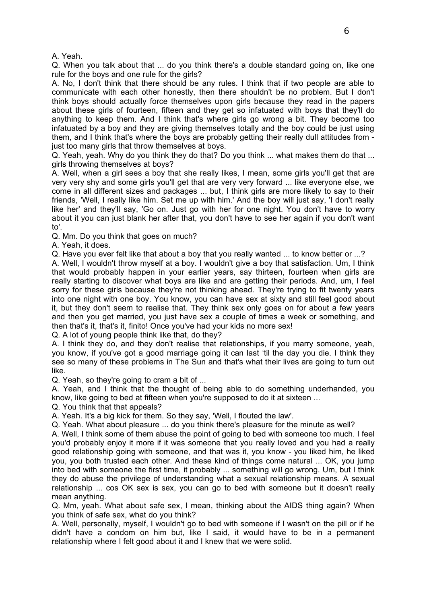A. Yeah.

Q. When you talk about that ... do you think there's a double standard going on, like one rule for the boys and one rule for the girls?

A. No, I don't think that there should be any rules. I think that if two people are able to communicate with each other honestly, then there shouldn't be no problem. But I don't think boys should actually force themselves upon girls because they read in the papers about these girls of fourteen, fifteen and they get so infatuated with boys that they'll do anything to keep them. And I think that's where girls go wrong a bit. They become too infatuated by a boy and they are giving themselves totally and the boy could be just using them, and I think that's where the boys are probably getting their really dull attitudes from just too many girls that throw themselves at boys.

Q. Yeah, yeah. Why do you think they do that? Do you think ... what makes them do that ... girls throwing themselves at boys?

A. Well, when a girl sees a boy that she really likes, I mean, some girls you'll get that are very very shy and some girls you'll get that are very very forward ... like everyone else, we come in all different sizes and packages ... but, I think girls are more likely to say to their friends, 'Well, I really like him. Set me up with him.' And the boy will just say, 'I don't really like her' and they'll say, 'Go on. Just go with her for one night. You don't have to worry about it you can just blank her after that, you don't have to see her again if you don't want to'.

Q. Mm. Do you think that goes on much?

A. Yeah, it does.

Q. Have you ever felt like that about a boy that you really wanted ... to know better or ...?

A. Well, I wouldn't throw myself at a boy. I wouldn't give a boy that satisfaction. Um, I think that would probably happen in your earlier years, say thirteen, fourteen when girls are really starting to discover what boys are like and are getting their periods. And, um, I feel sorry for these girls because they're not thinking ahead. They're trying to fit twenty years into one night with one boy. You know, you can have sex at sixty and still feel good about it, but they don't seem to realise that. They think sex only goes on for about a few years and then you get married, you just have sex a couple of times a week or something, and then that's it, that's it, finito! Once you've had your kids no more sex!

Q. A lot of young people think like that, do they?

A. I think they do, and they don't realise that relationships, if you marry someone, yeah, you know, if you've got a good marriage going it can last 'til the day you die. I think they see so many of these problems in The Sun and that's what their lives are going to turn out like.

Q. Yeah, so they're going to cram a bit of ...

A. Yeah, and I think that the thought of being able to do something underhanded, you know, like going to bed at fifteen when you're supposed to do it at sixteen ...

Q. You think that that appeals?

A. Yeah. It's a big kick for them. So they say, 'Well, I flouted the law'.

Q. Yeah. What about pleasure ... do you think there's pleasure for the minute as well?

A. Well, I think some of them abuse the point of going to bed with someone too much. I feel you'd probably enjoy it more if it was someone that you really loved and you had a really good relationship going with someone, and that was it, you know - you liked him, he liked you, you both trusted each other. And these kind of things come natural ... OK, you jump into bed with someone the first time, it probably ... something will go wrong. Um, but I think they do abuse the privilege of understanding what a sexual relationship means. A sexual relationship ... cos OK sex is sex, you can go to bed with someone but it doesn't really mean anything.

Q. Mm, yeah. What about safe sex, I mean, thinking about the AIDS thing again? When you think of safe sex, what do you think?

A. Well, personally, myself, I wouldn't go to bed with someone if I wasn't on the pill or if he didn't have a condom on him but, like I said, it would have to be in a permanent relationship where I felt good about it and I knew that we were solid.